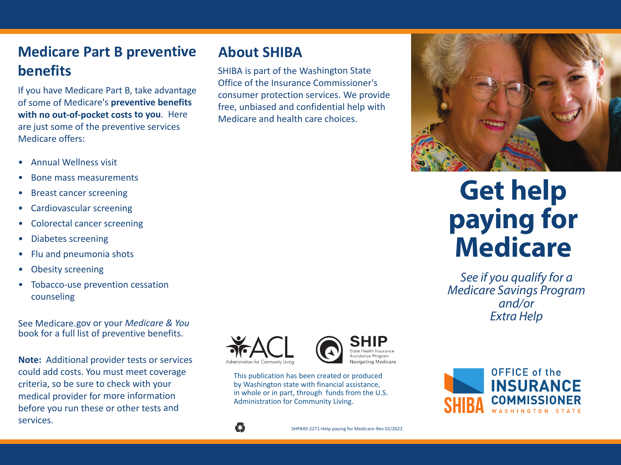## **Medicare Part B preventive benefits**

If you have Medicare Part B, take advantage of some of Medicare's **preventive benefits with no out-of-pocket costs to you**. Here are just some of the preventive services Medicare offers:

- $\bullet$ Annual Wellness visit
- •Bone mass measurements
- •Breast cancer screening
- •Cardiovascular screening
- •Colorectal cancer screening
- •Diabetes screening
- $\bullet$ Flu and pneumonia shots
- •Obesity screening
- • Tobacco-use prevention cessation counseling

See Medicare.gov or your *Medicare & You* book for a full list of preventive benefits.

**Note:** Additional provider tests or services could add costs. You must meet coverage criteria, so be sure to check with your medical provider for more information before you run these or other tests and services.



**About SHIBA**

SHIBA is part of the Washington State Office of the Insurance Commissioner's consumer protection services. We provide free, unbiased and confidential help with

Medicare and health care choices.



This publication has been created or produced by Washington state with financial assistance, in whole or in part, through funds from the U.S. Administration for Community Living.



# **Get help paying for Medicare**

*See if you qualify for a Medicare Savings Program and/or Extra Help*